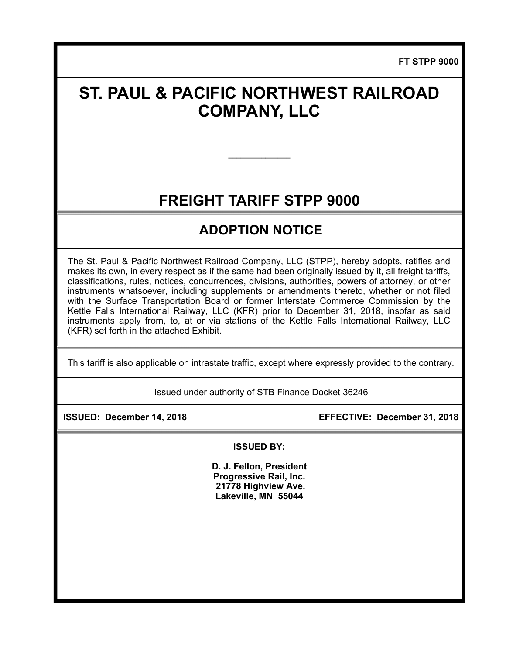**FT STPP 9000** 

# **ST. PAUL & PACIFIC NORTHWEST RAILROAD COMPANY, LLC**

## **FREIGHT TARIFF STPP 9000**

**\_\_\_\_\_\_\_\_\_\_\_\_\_\_\_** 

## **ADOPTION NOTICE**

The St. Paul & Pacific Northwest Railroad Company, LLC (STPP), hereby adopts, ratifies and makes its own, in every respect as if the same had been originally issued by it, all freight tariffs, classifications, rules, notices, concurrences, divisions, authorities, powers of attorney, or other instruments whatsoever, including supplements or amendments thereto, whether or not filed with the Surface Transportation Board or former Interstate Commerce Commission by the Kettle Falls International Railway, LLC (KFR) prior to December 31, 2018, insofar as said instruments apply from, to, at or via stations of the Kettle Falls International Railway, LLC (KFR) set forth in the attached Exhibit.

This tariff is also applicable on intrastate traffic, except where expressly provided to the contrary.

Issued under authority of STB Finance Docket 36246

 **ISSUED: December 14, 2018 EFFECTIVE: December 31, 2018** 

**ISSUED BY:** 

**D. J. Fellon, President Progressive Rail, Inc. 21778 Highview Ave. Lakeville, MN 55044**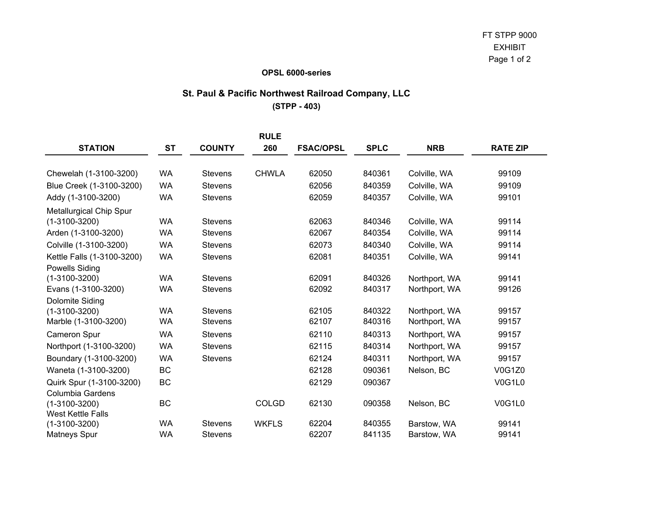#### **OPSL 6000-series**

### **St. Paul & Pacific Northwest Railroad Company, LLC**

**(STPP - 403)**

|                                |           |                | <b>RULE</b>  |                  |             |               |                 |
|--------------------------------|-----------|----------------|--------------|------------------|-------------|---------------|-----------------|
| <b>STATION</b>                 | <b>ST</b> | <b>COUNTY</b>  | 260          | <b>FSAC/OPSL</b> | <b>SPLC</b> | <b>NRB</b>    | <b>RATE ZIP</b> |
| Chewelah (1-3100-3200)         | <b>WA</b> | <b>Stevens</b> | <b>CHWLA</b> | 62050            | 840361      | Colville, WA  | 99109           |
| Blue Creek (1-3100-3200)       | <b>WA</b> | <b>Stevens</b> |              | 62056            | 840359      | Colville, WA  | 99109           |
| Addy (1-3100-3200)             | <b>WA</b> | <b>Stevens</b> |              | 62059            | 840357      | Colville, WA  | 99101           |
| <b>Metallurgical Chip Spur</b> |           |                |              |                  |             |               |                 |
| $(1-3100-3200)$                | <b>WA</b> | <b>Stevens</b> |              | 62063            | 840346      | Colville, WA  | 99114           |
| Arden (1-3100-3200)            | <b>WA</b> | <b>Stevens</b> |              | 62067            | 840354      | Colville, WA  | 99114           |
| Colville (1-3100-3200)         | <b>WA</b> | <b>Stevens</b> |              | 62073            | 840340      | Colville, WA  | 99114           |
| Kettle Falls (1-3100-3200)     | <b>WA</b> | <b>Stevens</b> |              | 62081            | 840351      | Colville, WA  | 99141           |
| <b>Powells Siding</b>          |           |                |              |                  |             |               |                 |
| $(1-3100-3200)$                | <b>WA</b> | <b>Stevens</b> |              | 62091            | 840326      | Northport, WA | 99141           |
| Evans (1-3100-3200)            | WA        | <b>Stevens</b> |              | 62092            | 840317      | Northport, WA | 99126           |
| Dolomite Siding                |           |                |              |                  |             |               |                 |
| $(1-3100-3200)$                | <b>WA</b> | <b>Stevens</b> |              | 62105            | 840322      | Northport, WA | 99157           |
| Marble (1-3100-3200)           | <b>WA</b> | <b>Stevens</b> |              | 62107            | 840316      | Northport, WA | 99157           |
| <b>Cameron Spur</b>            | <b>WA</b> | <b>Stevens</b> |              | 62110            | 840313      | Northport, WA | 99157           |
| Northport (1-3100-3200)        | <b>WA</b> | <b>Stevens</b> |              | 62115            | 840314      | Northport, WA | 99157           |
| Boundary (1-3100-3200)         | <b>WA</b> | <b>Stevens</b> |              | 62124            | 840311      | Northport, WA | 99157           |
| Waneta (1-3100-3200)           | <b>BC</b> |                |              | 62128            | 090361      | Nelson, BC    | <b>V0G1Z0</b>   |
| Quirk Spur (1-3100-3200)       | BC        |                |              | 62129            | 090367      |               | <b>V0G1L0</b>   |
| <b>Columbia Gardens</b>        |           |                |              |                  |             |               |                 |
| $(1-3100-3200)$                | BC        |                | <b>COLGD</b> | 62130            | 090358      | Nelson, BC    | V0G1L0          |
| <b>West Kettle Falls</b>       |           |                |              |                  |             |               |                 |
| $(1-3100-3200)$                | <b>WA</b> | <b>Stevens</b> | <b>WKFLS</b> | 62204            | 840355      | Barstow, WA   | 99141           |
| Matneys Spur                   | <b>WA</b> | <b>Stevens</b> |              | 62207            | 841135      | Barstow, WA   | 99141           |